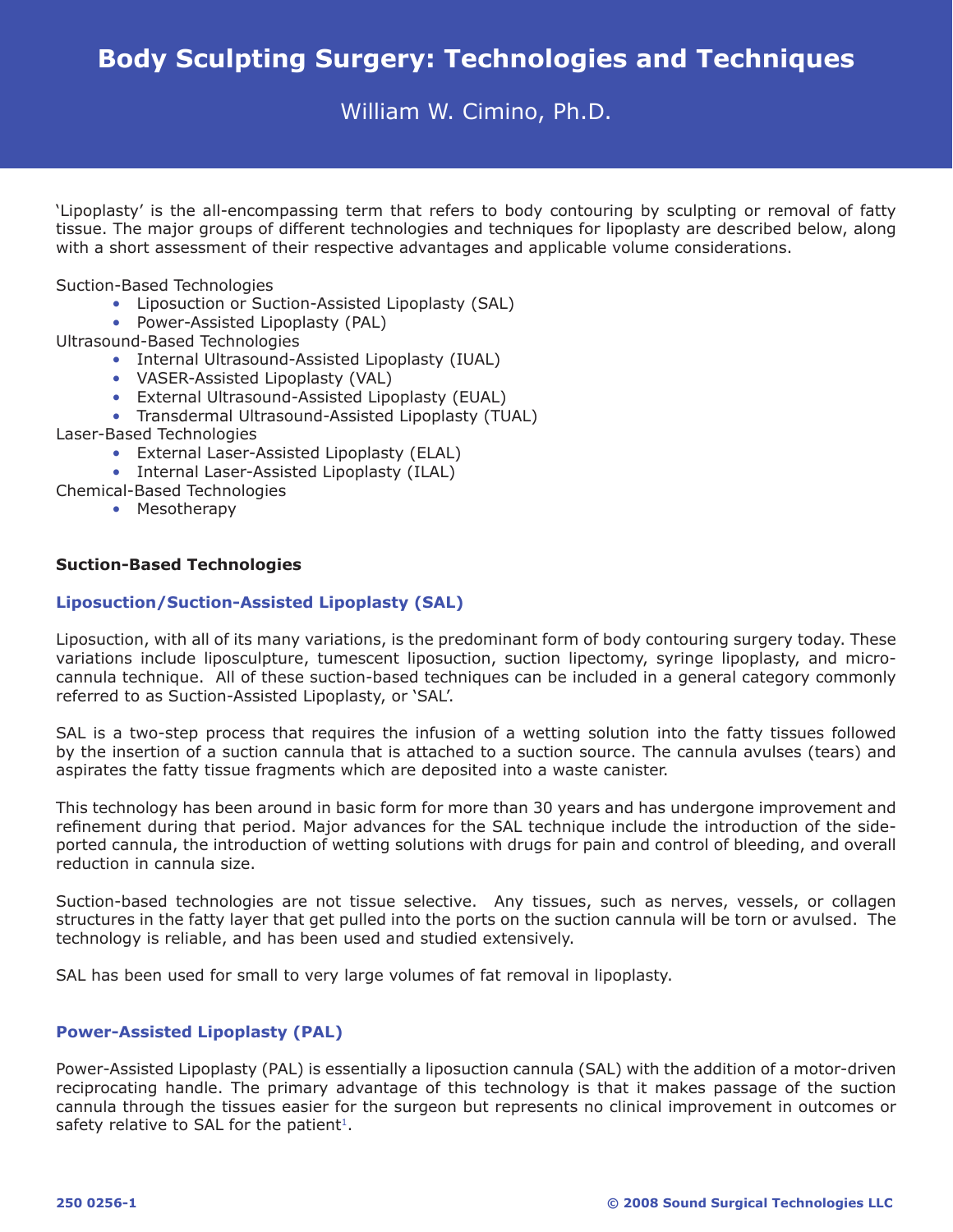William W. Cimino, Ph.D.

'Lipoplasty' is the all-encompassing term that refers to body contouring by sculpting or removal of fatty tissue. The major groups of different technologies and techniques for lipoplasty are described below, along with a short assessment of their respective advantages and applicable volume considerations.

Suction-Based Technologies

- Liposuction or Suction-Assisted Lipoplasty (SAL)
- Power-Assisted Lipoplasty (PAL)

Ultrasound-Based Technologies

- Internal Ultrasound-Assisted Lipoplasty (IUAL)
- VASER-Assisted Lipoplasty (VAL)
- External Ultrasound-Assisted Lipoplasty (EUAL)
- Transdermal Ultrasound-Assisted Lipoplasty (TUAL)
- Laser-Based Technologies
	- External Laser-Assisted Lipoplasty (ELAL)
	- Internal Laser-Assisted Lipoplasty (ILAL)
- Chemical-Based Technologies
	- Mesotherapy

# **Suction-Based Technologies**

### **Liposuction/Suction-Assisted Lipoplasty (SAL)**

Liposuction, with all of its many variations, is the predominant form of body contouring surgery today. These variations include liposculpture, tumescent liposuction, suction lipectomy, syringe lipoplasty, and microcannula technique. All of these suction-based techniques can be included in a general category commonly referred to as Suction-Assisted Lipoplasty, or 'SAL'.

SAL is a two-step process that requires the infusion of a wetting solution into the fatty tissues followed by the insertion of a suction cannula that is attached to a suction source. The cannula avulses (tears) and aspirates the fatty tissue fragments which are deposited into a waste canister.

This technology has been around in basic form for more than 30 years and has undergone improvement and refinement during that period. Major advances for the SAL technique include the introduction of the sideported cannula, the introduction of wetting solutions with drugs for pain and control of bleeding, and overall reduction in cannula size.

Suction-based technologies are not tissue selective. Any tissues, such as nerves, vessels, or collagen structures in the fatty layer that get pulled into the ports on the suction cannula will be torn or avulsed. The technology is reliable, and has been used and studied extensively.

SAL has been used for small to very large volumes of fat removal in lipoplasty.

# **Power-Assisted Lipoplasty (PAL)**

Power-Assisted Lipoplasty (PAL) is essentially a liposuction cannula (SAL) with the addition of a motor-driven reciprocating handle. The primary advantage of this technology is that it makes passage of the suction cannula through the tissues easier for the surgeon but represents no clinical improvement in outcomes or safety relative to SAL for the patient<sup>1</sup>.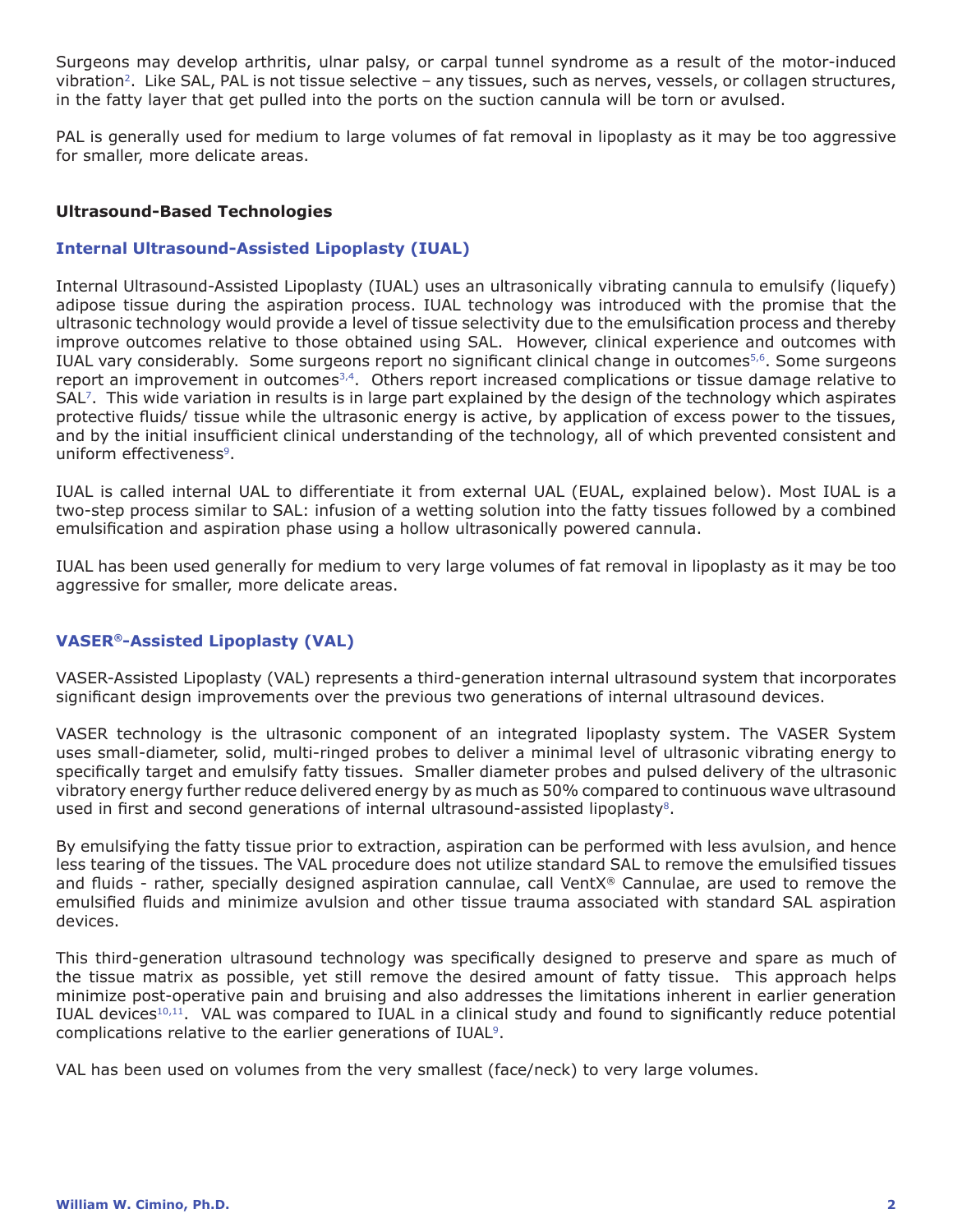Surgeons may develop arthritis, ulnar palsy, or carpal tunnel syndrome as a result of the motor-induced vibration2. Like SAL, PAL is not tissue selective – any tissues, such as nerves, vessels, or collagen structures, in the fatty layer that get pulled into the ports on the suction cannula will be torn or avulsed.

PAL is generally used for medium to large volumes of fat removal in lipoplasty as it may be too aggressive for smaller, more delicate areas.

# **Ultrasound-Based Technologies**

### **Internal Ultrasound-Assisted Lipoplasty (IUAL)**

Internal Ultrasound-Assisted Lipoplasty (IUAL) uses an ultrasonically vibrating cannula to emulsify (liquefy) adipose tissue during the aspiration process. IUAL technology was introduced with the promise that the ultrasonic technology would provide a level of tissue selectivity due to the emulsification process and thereby improve outcomes relative to those obtained using SAL. However, clinical experience and outcomes with IUAL vary considerably. Some surgeons report no significant clinical change in outcomes<sup>5,6</sup>. Some surgeons report an improvement in outcomes<sup>3,4</sup>. Others report increased complications or tissue damage relative to SAL7. This wide variation in results is in large part explained by the design of the technology which aspirates protective fluids/ tissue while the ultrasonic energy is active, by application of excess power to the tissues, and by the initial insufficient clinical understanding of the technology, all of which prevented consistent and uniform effectiveness<sup>9</sup>.

IUAL is called internal UAL to differentiate it from external UAL (EUAL, explained below). Most IUAL is a two-step process similar to SAL: infusion of a wetting solution into the fatty tissues followed by a combined emulsification and aspiration phase using a hollow ultrasonically powered cannula.

IUAL has been used generally for medium to very large volumes of fat removal in lipoplasty as it may be too aggressive for smaller, more delicate areas.

# **VASER®-Assisted Lipoplasty (VAL)**

VASER-Assisted Lipoplasty (VAL) represents a third-generation internal ultrasound system that incorporates significant design improvements over the previous two generations of internal ultrasound devices.

VASER technology is the ultrasonic component of an integrated lipoplasty system. The VASER System uses small-diameter, solid, multi-ringed probes to deliver a minimal level of ultrasonic vibrating energy to specifically target and emulsify fatty tissues. Smaller diameter probes and pulsed delivery of the ultrasonic vibratory energy further reduce delivered energy by as much as 50% compared to continuous wave ultrasound used in first and second generations of internal ultrasound-assisted lipoplasty $8$ .

By emulsifying the fatty tissue prior to extraction, aspiration can be performed with less avulsion, and hence less tearing of the tissues. The VAL procedure does not utilize standard SAL to remove the emulsified tissues and fluids - rather, specially designed aspiration cannulae, call VentX® Cannulae, are used to remove the emulsified fluids and minimize avulsion and other tissue trauma associated with standard SAL aspiration devices.

This third-generation ultrasound technology was specifically designed to preserve and spare as much of the tissue matrix as possible, yet still remove the desired amount of fatty tissue. This approach helps minimize post-operative pain and bruising and also addresses the limitations inherent in earlier generation IUAL devices<sup>10,11</sup>. VAL was compared to IUAL in a clinical study and found to significantly reduce potential complications relative to the earlier generations of IUAL9.

VAL has been used on volumes from the very smallest (face/neck) to very large volumes.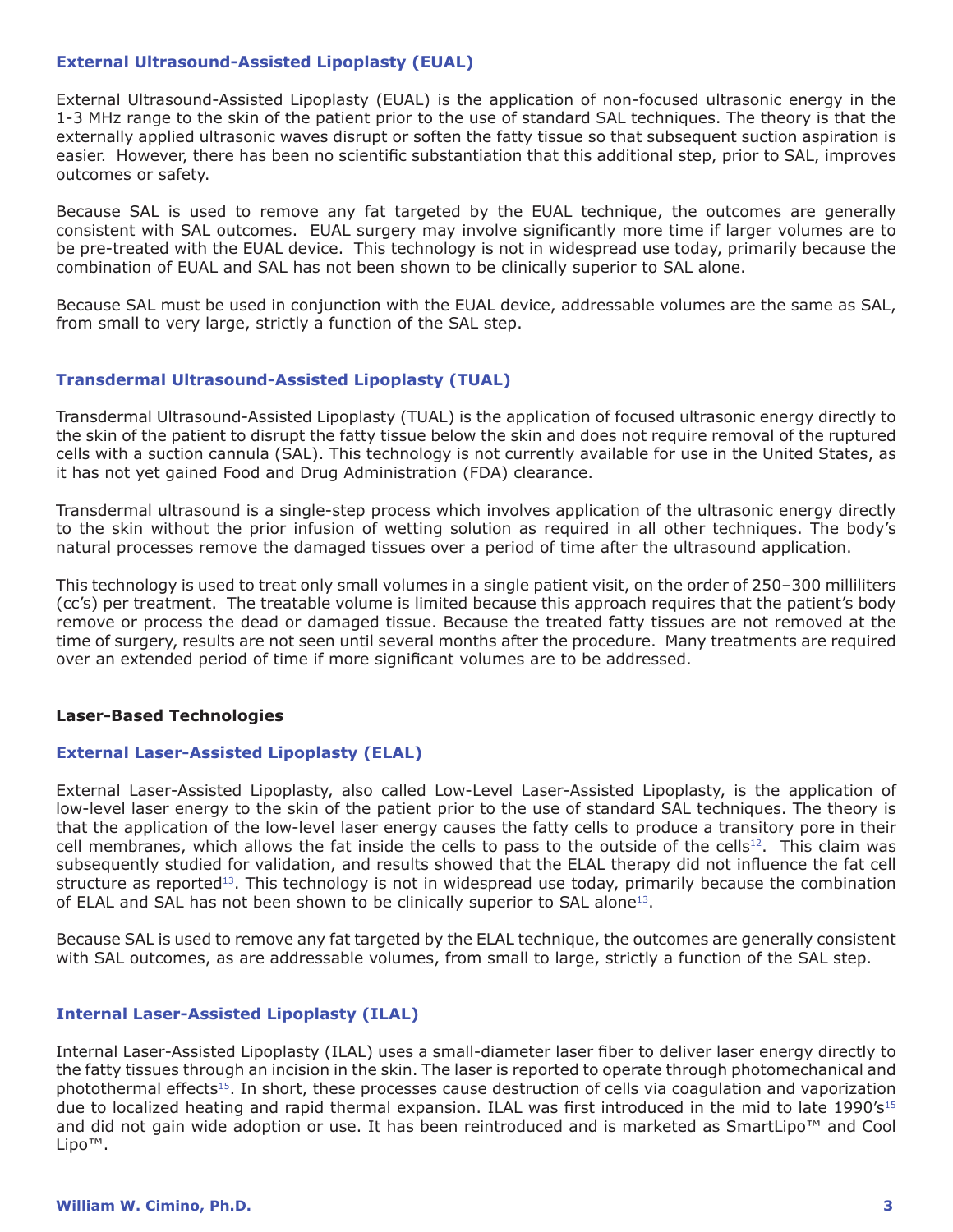### **External Ultrasound-Assisted Lipoplasty (EUAL)**

External Ultrasound-Assisted Lipoplasty (EUAL) is the application of non-focused ultrasonic energy in the 1-3 MHz range to the skin of the patient prior to the use of standard SAL techniques. The theory is that the externally applied ultrasonic waves disrupt or soften the fatty tissue so that subsequent suction aspiration is easier. However, there has been no scientific substantiation that this additional step, prior to SAL, improves outcomes or safety.

Because SAL is used to remove any fat targeted by the EUAL technique, the outcomes are generally consistent with SAL outcomes. EUAL surgery may involve significantly more time if larger volumes are to be pre-treated with the EUAL device. This technology is not in widespread use today, primarily because the combination of EUAL and SAL has not been shown to be clinically superior to SAL alone.

Because SAL must be used in conjunction with the EUAL device, addressable volumes are the same as SAL, from small to very large, strictly a function of the SAL step.

### **Transdermal Ultrasound-Assisted Lipoplasty (TUAL)**

Transdermal Ultrasound-Assisted Lipoplasty (TUAL) is the application of focused ultrasonic energy directly to the skin of the patient to disrupt the fatty tissue below the skin and does not require removal of the ruptured cells with a suction cannula (SAL). This technology is not currently available for use in the United States, as it has not yet gained Food and Drug Administration (FDA) clearance.

Transdermal ultrasound is a single-step process which involves application of the ultrasonic energy directly to the skin without the prior infusion of wetting solution as required in all other techniques. The body's natural processes remove the damaged tissues over a period of time after the ultrasound application.

This technology is used to treat only small volumes in a single patient visit, on the order of 250–300 milliliters (cc's) per treatment. The treatable volume is limited because this approach requires that the patient's body remove or process the dead or damaged tissue. Because the treated fatty tissues are not removed at the time of surgery, results are not seen until several months after the procedure. Many treatments are required over an extended period of time if more significant volumes are to be addressed.

# **Laser-Based Technologies**

# **External Laser-Assisted Lipoplasty (ELAL)**

External Laser-Assisted Lipoplasty, also called Low-Level Laser-Assisted Lipoplasty, is the application of low-level laser energy to the skin of the patient prior to the use of standard SAL techniques. The theory is that the application of the low-level laser energy causes the fatty cells to produce a transitory pore in their cell membranes, which allows the fat inside the cells to pass to the outside of the cells<sup>12</sup>. This claim was subsequently studied for validation, and results showed that the ELAL therapy did not influence the fat cell structure as reported<sup>13</sup>. This technology is not in widespread use today, primarily because the combination of ELAL and SAL has not been shown to be clinically superior to SAL alone<sup>13</sup>.

Because SAL is used to remove any fat targeted by the ELAL technique, the outcomes are generally consistent with SAL outcomes, as are addressable volumes, from small to large, strictly a function of the SAL step.

# **Internal Laser-Assisted Lipoplasty (ILAL)**

Internal Laser-Assisted Lipoplasty (ILAL) uses a small-diameter laser fiber to deliver laser energy directly to the fatty tissues through an incision in the skin. The laser is reported to operate through photomechanical and photothermal effects15. In short, these processes cause destruction of cells via coagulation and vaporization due to localized heating and rapid thermal expansion. ILAL was first introduced in the mid to late 1990's<sup>15</sup> and did not gain wide adoption or use. It has been reintroduced and is marketed as SmartLipo™ and Cool Lipo™.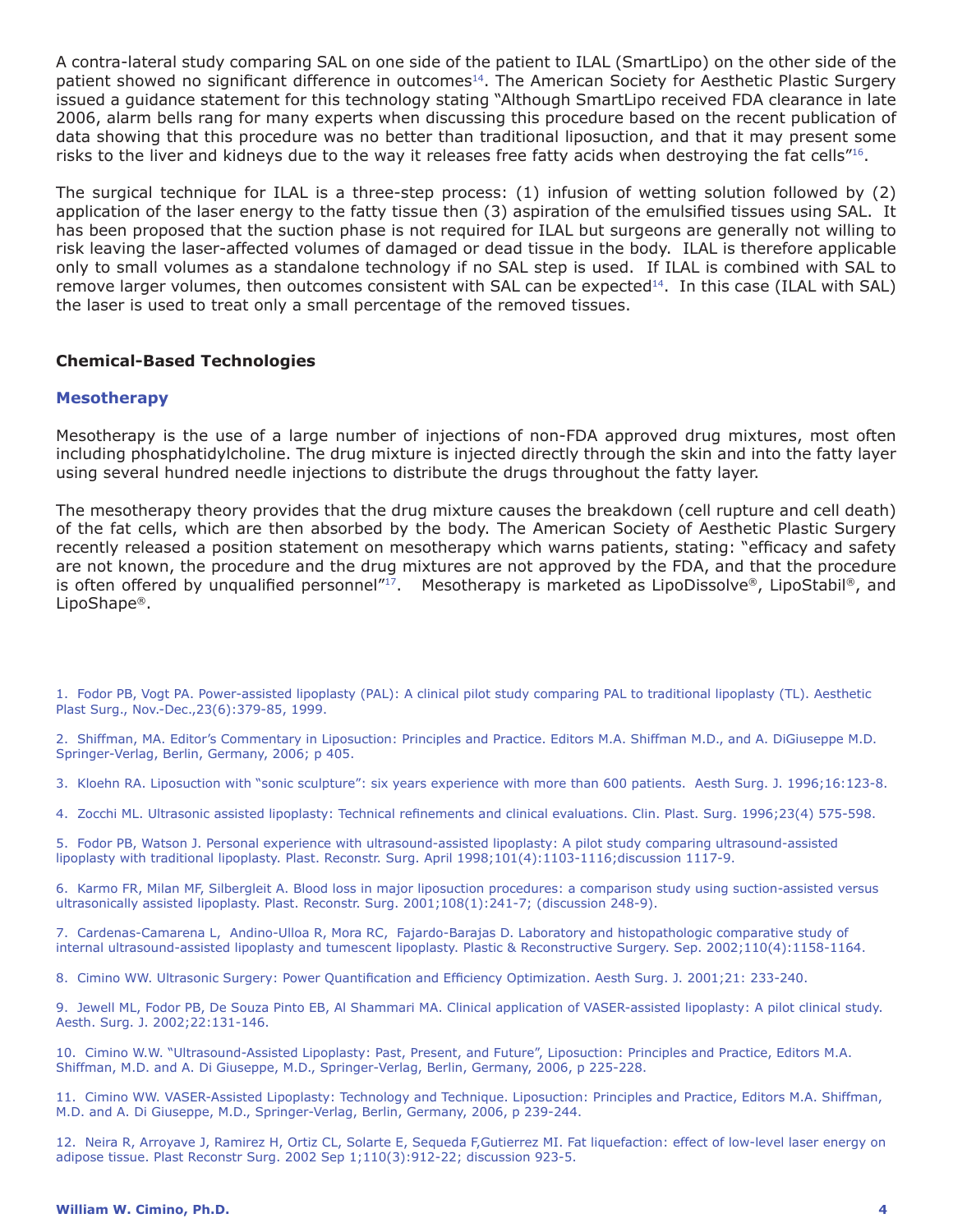A contra-lateral study comparing SAL on one side of the patient to ILAL (SmartLipo) on the other side of the patient showed no significant difference in outcomes<sup>14</sup>. The American Society for Aesthetic Plastic Surgery issued a guidance statement for this technology stating "Although SmartLipo received FDA clearance in late 2006, alarm bells rang for many experts when discussing this procedure based on the recent publication of data showing that this procedure was no better than traditional liposuction, and that it may present some risks to the liver and kidneys due to the way it releases free fatty acids when destroying the fat cells"16.

The surgical technique for ILAL is a three-step process: (1) infusion of wetting solution followed by (2) application of the laser energy to the fatty tissue then (3) aspiration of the emulsified tissues using SAL. It has been proposed that the suction phase is not required for ILAL but surgeons are generally not willing to risk leaving the laser-affected volumes of damaged or dead tissue in the body. ILAL is therefore applicable only to small volumes as a standalone technology if no SAL step is used. If ILAL is combined with SAL to remove larger volumes, then outcomes consistent with SAL can be expected $14$ . In this case (ILAL with SAL) the laser is used to treat only a small percentage of the removed tissues.

# **Chemical-Based Technologies**

#### **Mesotherapy**

Mesotherapy is the use of a large number of injections of non-FDA approved drug mixtures, most often including phosphatidylcholine. The drug mixture is injected directly through the skin and into the fatty layer using several hundred needle injections to distribute the drugs throughout the fatty layer.

The mesotherapy theory provides that the drug mixture causes the breakdown (cell rupture and cell death) of the fat cells, which are then absorbed by the body. The American Society of Aesthetic Plastic Surgery recently released a position statement on mesotherapy which warns patients, stating: "efficacy and safety are not known, the procedure and the drug mixtures are not approved by the FDA, and that the procedure is often offered by unqualified personnel"<sup>17</sup>. Mesotherapy is marketed as LipoDissolve®, LipoStabil®, and LipoShape®.

1. Fodor PB, Vogt PA. Power-assisted lipoplasty (PAL): A clinical pilot study comparing PAL to traditional lipoplasty (TL). Aesthetic Plast Surg., Nov.-Dec.,23(6):379-85, 1999.

2. Shiffman, MA. Editor's Commentary in Liposuction: Principles and Practice. Editors M.A. Shiffman M.D., and A. DiGiuseppe M.D. Springer-Verlag, Berlin, Germany, 2006; p 405.

3. Kloehn RA. Liposuction with "sonic sculpture": six years experience with more than 600 patients. Aesth Surg. J. 1996;16:123-8.

4. Zocchi ML. Ultrasonic assisted lipoplasty: Technical refinements and clinical evaluations. Clin. Plast. Surg. 1996;23(4) 575-598.

5. Fodor PB, Watson J. Personal experience with ultrasound-assisted lipoplasty: A pilot study comparing ultrasound-assisted lipoplasty with traditional lipoplasty. Plast. Reconstr. Surg. April 1998;101(4):1103-1116;discussion 1117-9.

6. Karmo FR, Milan MF, Silbergleit A. Blood loss in major liposuction procedures: a comparison study using suction-assisted versus ultrasonically assisted lipoplasty. Plast. Reconstr. Surg. 2001;108(1):241-7; (discussion 248-9).

7. Cardenas-Camarena L, Andino-Ulloa R, Mora RC, Fajardo-Barajas D. Laboratory and histopathologic comparative study of internal ultrasound-assisted lipoplasty and tumescent lipoplasty. Plastic & Reconstructive Surgery. Sep. 2002;110(4):1158-1164.

8. Cimino WW. Ultrasonic Surgery: Power Quantification and Efficiency Optimization. Aesth Surg. J. 2001;21: 233-240.

9. Jewell ML, Fodor PB, De Souza Pinto EB, Al Shammari MA. Clinical application of VASER-assisted lipoplasty: A pilot clinical study. Aesth. Surg. J. 2002;22:131-146.

10. Cimino W.W. "Ultrasound-Assisted Lipoplasty: Past, Present, and Future", Liposuction: Principles and Practice, Editors M.A. Shiffman, M.D. and A. Di Giuseppe, M.D., Springer-Verlag, Berlin, Germany, 2006, p 225-228.

11. Cimino WW. VASER-Assisted Lipoplasty: Technology and Technique. Liposuction: Principles and Practice, Editors M.A. Shiffman, M.D. and A. Di Giuseppe, M.D., Springer-Verlag, Berlin, Germany, 2006, p 239-244.

12. Neira R, Arroyave J, Ramirez H, Ortiz CL, Solarte E, Sequeda F,Gutierrez MI. Fat liquefaction: effect of low-level laser energy on adipose tissue. Plast Reconstr Surg. 2002 Sep 1;110(3):912-22; discussion 923-5.